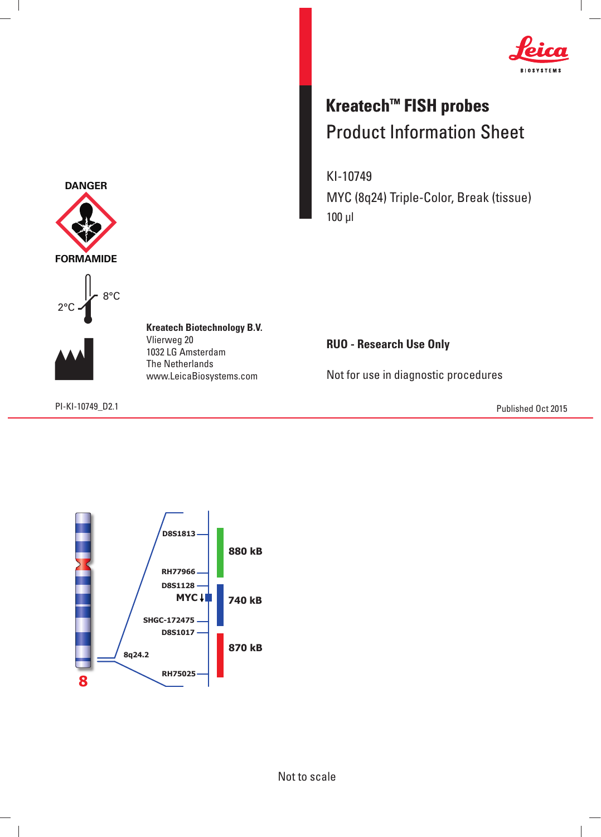

## **Kreatech™ FISH probes** Product Information Sheet

KI-10749 MYC (8q24) Triple-Color, Break (tissue) 100 μl

**RUO - Research Use Only**

Not for use in diagnostic procedures

PI-KI-10749\_D2.1 Published Oct 2015







 $\overline{\phantom{a}}$ 

**Kreatech Biotechnology B.V.** Vlierweg 20 1032 LG Amsterdam The Netherlands www.LeicaBiosystems.com